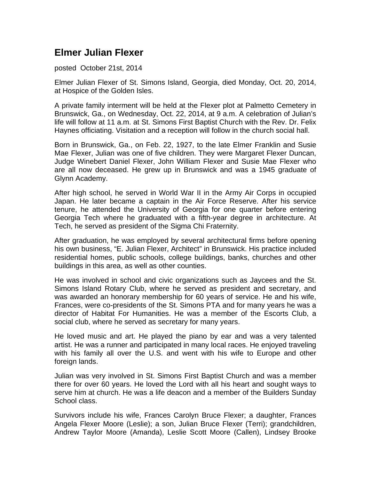## **Elmer Julian Flexer**

## posted October 21st, 2014

Elmer Julian Flexer of St. Simons Island, Georgia, died Monday, Oct. 20, 2014, at Hospice of the Golden Isles.

A private family interment will be held at the Flexer plot at Palmetto Cemetery in Brunswick, Ga., on Wednesday, Oct. 22, 2014, at 9 a.m. A celebration of Julian's life will follow at 11 a.m. at St. Simons First Baptist Church with the Rev. Dr. Felix Haynes officiating. Visitation and a reception will follow in the church social hall.

Born in Brunswick, Ga., on Feb. 22, 1927, to the late Elmer Franklin and Susie Mae Flexer, Julian was one of five children. They were Margaret Flexer Duncan, Judge Winebert Daniel Flexer, John William Flexer and Susie Mae Flexer who are all now deceased. He grew up in Brunswick and was a 1945 graduate of Glynn Academy.

After high school, he served in World War II in the Army Air Corps in occupied Japan. He later became a captain in the Air Force Reserve. After his service tenure, he attended the University of Georgia for one quarter before entering Georgia Tech where he graduated with a fifth-year degree in architecture. At Tech, he served as president of the Sigma Chi Fraternity.

After graduation, he was employed by several architectural firms before opening his own business, "E. Julian Flexer, Architect" in Brunswick. His practice included residential homes, public schools, college buildings, banks, churches and other buildings in this area, as well as other counties.

He was involved in school and civic organizations such as Jaycees and the St. Simons Island Rotary Club, where he served as president and secretary, and was awarded an honorary membership for 60 years of service. He and his wife, Frances, were co-presidents of the St. Simons PTA and for many years he was a director of Habitat For Humanities. He was a member of the Escorts Club, a social club, where he served as secretary for many years.

He loved music and art. He played the piano by ear and was a very talented artist. He was a runner and participated in many local races. He enjoyed traveling with his family all over the U.S. and went with his wife to Europe and other foreign lands.

Julian was very involved in St. Simons First Baptist Church and was a member there for over 60 years. He loved the Lord with all his heart and sought ways to serve him at church. He was a life deacon and a member of the Builders Sunday School class.

Survivors include his wife, Frances Carolyn Bruce Flexer; a daughter, Frances Angela Flexer Moore (Leslie); a son, Julian Bruce Flexer (Terri); grandchildren, Andrew Taylor Moore (Amanda), Leslie Scott Moore (Callen), Lindsey Brooke